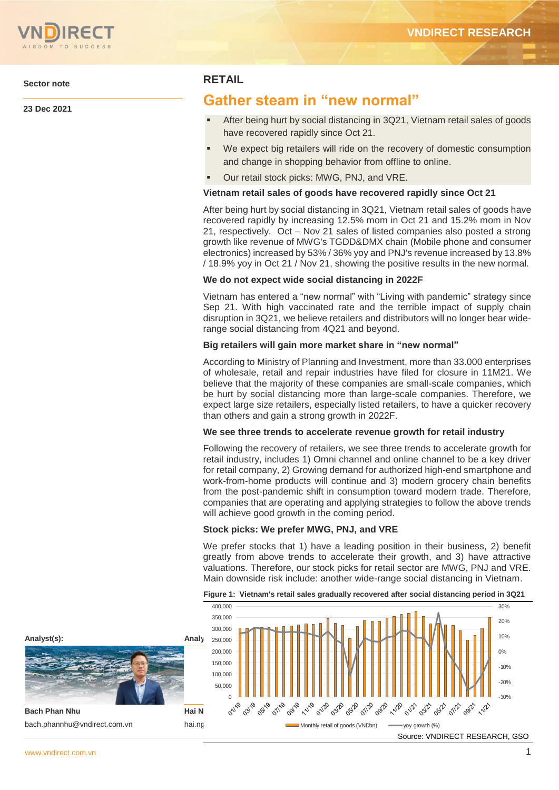

**Sector note**

**23 Dec 2021**

## **RETAIL**

# **Gather steam in "new normal"**

- After being hurt by social distancing in 3Q21, Vietnam retail sales of goods have recovered rapidly since Oct 21.
- We expect big retailers will ride on the recovery of domestic consumption and change in shopping behavior from offline to online.
- Our retail stock picks: MWG, PNJ, and VRE.

### **Vietnam retail sales of goods have recovered rapidly since Oct 21**

After being hurt by social distancing in 3Q21, Vietnam retail sales of goods have recovered rapidly by increasing 12.5% mom in Oct 21 and 15.2% mom in Nov 21, respectively. Oct – Nov 21 sales of listed companies also posted a strong growth like revenue of MWG's TGDD&DMX chain (Mobile phone and consumer electronics) increased by 53% / 36% yoy and PNJ's revenue increased by 13.8% / 18.9% yoy in Oct 21 / Nov 21, showing the positive results in the new normal.

### **We do not expect wide social distancing in 2022F**

Vietnam has entered a "new normal" with "Living with pandemic" strategy since Sep 21. With high vaccinated rate and the terrible impact of supply chain disruption in 3Q21, we believe retailers and distributors will no longer bear widerange social distancing from 4Q21 and beyond.

#### **Big retailers will gain more market share in "new normal"**

According to Ministry of Planning and Investment, more than 33.000 enterprises of wholesale, retail and repair industries have filed for closure in 11M21. We believe that the majority of these companies are small-scale companies, which be hurt by social distancing more than large-scale companies. Therefore, we expect large size retailers, especially listed retailers, to have a quicker recovery than others and gain a strong growth in 2022F.

#### **We see three trends to accelerate revenue growth for retail industry**

Following the recovery of retailers, we see three trends to accelerate growth for retail industry, includes 1) Omni channel and online channel to be a key driver for retail company, 2) Growing demand for authorized high-end smartphone and work-from-home products will continue and 3) modern grocery chain benefits from the post-pandemic shift in consumption toward modern trade. Therefore, companies that are operating and applying strategies to follow the above trends will achieve good growth in the coming period.

### **Stock picks: We prefer MWG, PNJ, and VRE**

We prefer stocks that 1) have a leading position in their business, 2) benefit greatly from above trends to accelerate their growth, and 3) have attractive valuations. Therefore, our stock picks for retail sector are MWG, PNJ and VRE. Main downside risk include: another wide-range social distancing in Vietnam.



**Figure 1: Vietnam's retail sales gradually recovered after social distancing period in 3Q21**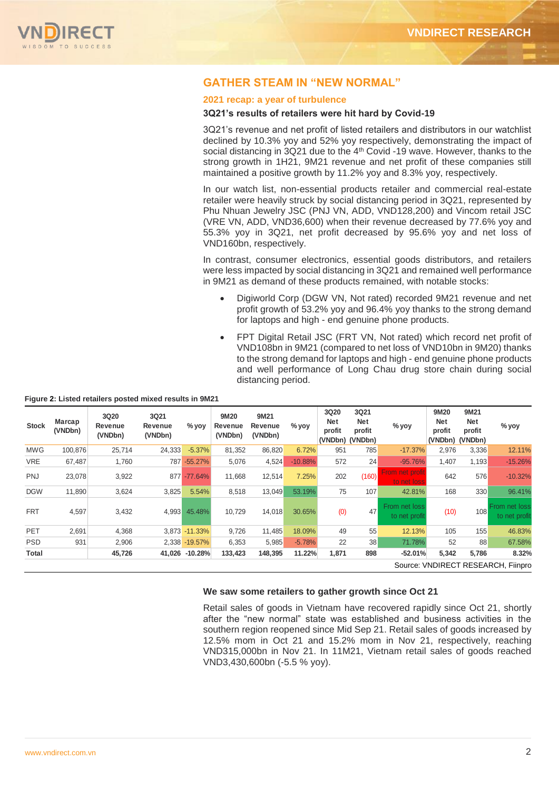

## **GATHER STEAM IN "NEW NORMAL"**

#### **2021 recap: a year of turbulence**

#### **3Q21's results of retailers were hit hard by Covid-19**

3Q21's revenue and net profit of listed retailers and distributors in our watchlist declined by 10.3% yoy and 52% yoy respectively, demonstrating the impact of social distancing in 3Q21 due to the 4<sup>th</sup> Covid -19 wave. However, thanks to the strong growth in 1H21, 9M21 revenue and net profit of these companies still maintained a positive growth by 11.2% yoy and 8.3% yoy, respectively.

In our watch list, non-essential products retailer and commercial real-estate retailer were heavily struck by social distancing period in 3Q21, represented by Phu Nhuan Jewelry JSC (PNJ VN, ADD, VND128,200) and Vincom retail JSC (VRE VN, ADD, VND36,600) when their revenue decreased by 77.6% yoy and 55.3% yoy in 3Q21, net profit decreased by 95.6% yoy and net loss of VND160bn, respectively.

In contrast, consumer electronics, essential goods distributors, and retailers were less impacted by social distancing in 3Q21 and remained well performance in 9M21 as demand of these products remained, with notable stocks:

- Digiworld Corp (DGW VN, Not rated) recorded 9M21 revenue and net profit growth of 53.2% yoy and 96.4% yoy thanks to the strong demand for laptops and high - end genuine phone products.
- FPT Digital Retail JSC (FRT VN, Not rated) which record net profit of VND108bn in 9M21 (compared to net loss of VND10bn in 9M20) thanks to the strong demand for laptops and high - end genuine phone products and well performance of Long Chau drug store chain during social distancing period.

| <b>Stock</b> | Marcap<br>(VNDbn)                  | 3Q20<br>Revenue<br>(VNDbn) | 3Q21<br>Revenue<br>(VNDbn) | $%$ yoy        | 9M20<br>Revenue<br>(VNDbn) | 9M21<br>Revenue<br>(VNDbn) | $%$ yoy   | 3Q20<br><b>Net</b><br>profit<br>(VNDbn) (VNDbn) | 3Q21<br><b>Net</b><br>profit | % yoy                          | 9M20<br><b>Net</b><br>profit<br>(VNDbn) | 9M21<br><b>Net</b><br>profit<br>(VNDbn) | % yoy                          |
|--------------|------------------------------------|----------------------------|----------------------------|----------------|----------------------------|----------------------------|-----------|-------------------------------------------------|------------------------------|--------------------------------|-----------------------------------------|-----------------------------------------|--------------------------------|
| <b>MWG</b>   | 100,876                            | 25,714                     | 24,333                     | $-5.37\%$      | 81,352                     | 86,820                     | 6.72%     | 951                                             | 785                          | $-17.37%$                      | 2,976                                   | 3,336                                   | 12.11%                         |
| <b>VRE</b>   | 67,487                             | 1,760                      | 787                        | $-55.27%$      | 5,076                      | 4,524                      | $-10.88%$ | 572                                             | 24                           | $-95.76%$                      | 1,407                                   | 1,193                                   | $-15.26%$                      |
| <b>PNJ</b>   | 23,078                             | 3,922                      |                            | 877 - 77.64%   | 11,668                     | 12,514                     | 7.25%     | 202                                             | (160)                        | From net profit<br>to net loss | 642                                     | 576                                     | $-10.32%$                      |
| <b>DGW</b>   | 11.890                             | 3,624                      | 3,825                      | 5.54%          | 8,518                      | 13,049                     | 53.19%    | 75                                              | 107                          | 42.81%                         | 168                                     | 330                                     | 96.41%                         |
| <b>FRT</b>   | 4,597                              | 3,432                      | 4,993                      | 45.48%         | 10,729                     | 14,018                     | 30.65%    | (0)                                             | 47                           | From net loss<br>to net profit | (10)                                    | 108                                     | From net loss<br>to net profit |
| PET          | 2,691                              | 4,368                      |                            | 3,873 - 11.33% | 9,726                      | 11,485                     | 18.09%    | 49                                              | 55                           | 12.13%                         | 105                                     | 155                                     | 46.83%                         |
| <b>PSD</b>   | 931                                | 2,906                      |                            | 2,338 - 19.57% | 6,353                      | 5,985                      | $-5.78%$  | 22                                              | 38                           | 71.78%                         | 52                                      | 88                                      | 67.58%                         |
| Total        |                                    | 45,726                     |                            | 41.026 -10.28% | 133,423                    | 148,395                    | 11.22%    | 1,871                                           | 898                          | $-52.01%$                      | 5,342                                   | 5,786                                   | 8.32%                          |
|              | Source: VNDIRECT RESEARCH, Fiinpro |                            |                            |                |                            |                            |           |                                                 |                              |                                |                                         |                                         |                                |

#### **Figure 2: Listed retailers posted mixed results in 9M21**

### **We saw some retailers to gather growth since Oct 21**

Retail sales of goods in Vietnam have recovered rapidly since Oct 21, shortly after the "new normal" state was established and business activities in the southern region reopened since Mid Sep 21. Retail sales of goods increased by 12.5% mom in Oct 21 and 15.2% mom in Nov 21, respectively, reaching VND315,000bn in Nov 21. In 11M21, Vietnam retail sales of goods reached VND3,430,600bn (-5.5 % yoy).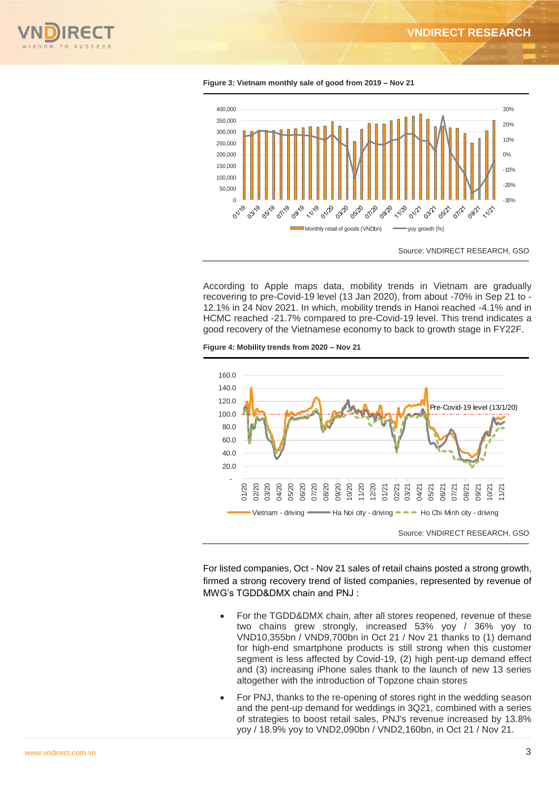





According to Apple maps data, mobility trends in Vietnam are gradually recovering to pre-Covid-19 level (13 Jan 2020), from about -70% in Sep 21 to - 12.1% in 24 Nov 2021. In which, mobility trends in Hanoi reached -4.1% and in HCMC reached -21.7% compared to pre-Covid-19 level. This trend indicates a good recovery of the Vietnamese economy to back to growth stage in FY22F.





For listed companies, Oct - Nov 21 sales of retail chains posted a strong growth, firmed a strong recovery trend of listed companies, represented by revenue of MWG's TGDD&DMX chain and PNJ :

- For the TGDD&DMX chain, after all stores reopened, revenue of these two chains grew strongly, increased 53% yoy / 36% yoy to VND10,355bn / VND9,700bn in Oct 21 / Nov 21 thanks to (1) demand for high-end smartphone products is still strong when this customer segment is less affected by Covid-19, (2) high pent-up demand effect and (3) increasing iPhone sales thank to the launch of new 13 series altogether with the introduction of Topzone chain stores
- For PNJ, thanks to the re-opening of stores right in the wedding season and the pent-up demand for weddings in 3Q21, combined with a series of strategies to boost retail sales, PNJ's revenue increased by 13.8% yoy / 18.9% yoy to VND2,090bn / VND2,160bn, in Oct 21 / Nov 21.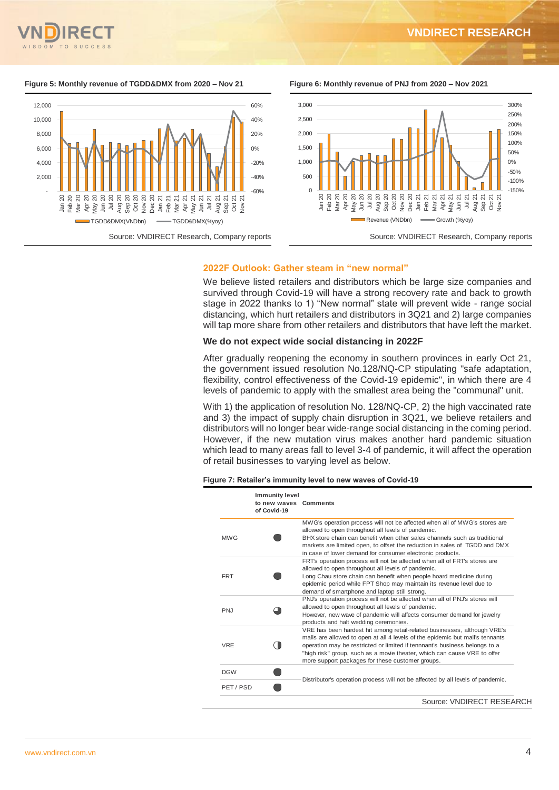#### **Figure 5: Monthly revenue of TGDD&DMX from 2020 – Nov 21 Figure 6: Monthly revenue of PNJ from 2020 – Nov 2021**







#### **2022F Outlook: Gather steam in "new normal"**

We believe listed retailers and distributors which be large size companies and survived through Covid-19 will have a strong recovery rate and back to growth stage in 2022 thanks to 1) "New normal" state will prevent wide - range social distancing, which hurt retailers and distributors in 3Q21 and 2) large companies will tap more share from other retailers and distributors that have left the market.

#### **We do not expect wide social distancing in 2022F**

After gradually reopening the economy in southern provinces in early Oct 21, the government issued resolution No.128/NQ-CP stipulating "safe adaptation, flexibility, control effectiveness of the Covid-19 epidemic", in which there are 4 levels of pandemic to apply with the smallest area being the "communal" unit.

With 1) the application of resolution No. 128/NQ-CP, 2) the high vaccinated rate and 3) the impact of supply chain disruption in 3Q21, we believe retailers and distributors will no longer bear wide-range social distancing in the coming period. However, if the new mutation virus makes another hard pandemic situation which lead to many areas fall to level 3-4 of pandemic, it will affect the operation of retail businesses to varying level as below.

#### **Figure 7: Retailer's immunity level to new waves of Covid-19**

|            | <b>Immunity level</b><br>to new waves Comments<br>of Covid-19 |                                                                                                                                                                                                                                                                                                                                                                         |  |  |  |
|------------|---------------------------------------------------------------|-------------------------------------------------------------------------------------------------------------------------------------------------------------------------------------------------------------------------------------------------------------------------------------------------------------------------------------------------------------------------|--|--|--|
| <b>MWG</b> |                                                               | MWG's operation process will not be affected when all of MWG's stores are<br>allowed to open throughout all levels of pandemic.<br>BHX store chain can benefit when other sales channels such as traditional<br>markets are limited open, to offset the reduction in sales of TGDD and DMX<br>in case of lower demand for consumer electronic products.                 |  |  |  |
| <b>FRT</b> |                                                               | FRT's operation process will not be affected when all of FRT's stores are<br>allowed to open throughout all levels of pandemic.<br>Long Chau store chain can benefit when people hoard medicine during<br>epidemic period while FPT Shop may maintain its revenue level due to<br>demand of smartphone and laptop still strong.                                         |  |  |  |
| <b>PNJ</b> |                                                               | PNJ's operation process will not be affected when all of PNJ's stores will<br>allowed to open throughout all levels of pandemic.<br>However, new wave of pandemic will affects consumer demand for jewelry<br>products and halt wedding ceremonies.                                                                                                                     |  |  |  |
| <b>VRE</b> |                                                               | VRE has been hardest hit among retail-related businesses, although VRE's<br>malls are allowed to open at all 4 levels of the epidemic but mall's tennants<br>operation may be restricted or limited if tennnant's business belongs to a<br>"high risk" group, such as a movie theater, which can cause VRE to offer<br>more support packages for these customer groups. |  |  |  |
| <b>DGW</b> |                                                               |                                                                                                                                                                                                                                                                                                                                                                         |  |  |  |
| PET/PSD    |                                                               | Distributor's operation process will not be affected by all levels of pandemic.                                                                                                                                                                                                                                                                                         |  |  |  |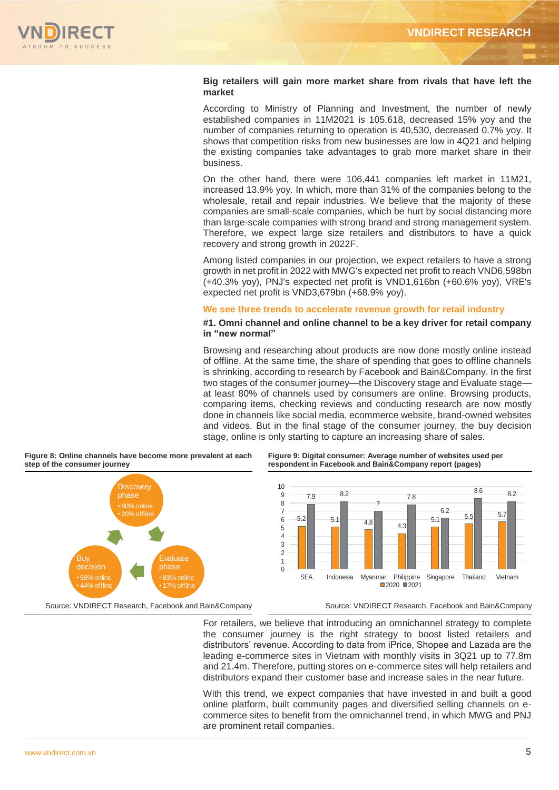

### **Big retailers will gain more market share from rivals that have left the market**

According to Ministry of Planning and Investment, the number of newly established companies in 11M2021 is 105,618, decreased 15% yoy and the number of companies returning to operation is 40,530, decreased 0.7% yoy. It shows that competition risks from new businesses are low in 4Q21 and helping the existing companies take advantages to grab more market share in their business.

On the other hand, there were 106,441 companies left market in 11M21, increased 13.9% yoy. In which, more than 31% of the companies belong to the wholesale, retail and repair industries. We believe that the majority of these companies are small-scale companies, which be hurt by social distancing more than large-scale companies with strong brand and strong management system. Therefore, we expect large size retailers and distributors to have a quick recovery and strong growth in 2022F.

Among listed companies in our projection, we expect retailers to have a strong growth in net profit in 2022 with MWG's expected net profit to reach VND6,598bn (+40.3% yoy), PNJ's expected net profit is VND1,616bn (+60.6% yoy), VRE's expected net profit is VND3,679bn (+68.9% yoy).

#### **We see three trends to accelerate revenue growth for retail industry**

#### **#1. Omni channel and online channel to be a key driver for retail company in "new normal"**

Browsing and researching about products are now done mostly online instead of offline. At the same time, the share of spending that goes to offline channels is shrinking, according to research by Facebook and Bain&Company. In the first two stages of the consumer journey—the Discovery stage and Evaluate stage at least 80% of channels used by consumers are online. Browsing products, comparing items, checking reviews and conducting research are now mostly done in channels like social media, ecommerce website, brand-owned websites and videos. But in the final stage of the consumer journey, the buy decision stage, online is only starting to capture an increasing share of sales.





#### **Figure 9: Digital consumer: Average number of websites used per respondent in Facebook and Bain&Company report (pages)**



For retailers, we believe that introducing an omnichannel strategy to complete the consumer journey is the right strategy to boost listed retailers and distributors' revenue. According to data from iPrice, Shopee and Lazada are the leading e-commerce sites in Vietnam with monthly visits in 3Q21 up to 77.8m and 21.4m. Therefore, putting stores on e-commerce sites will help retailers and distributors expand their customer base and increase sales in the near future.

With this trend, we expect companies that have invested in and built a good online platform, built community pages and diversified selling channels on ecommerce sites to benefit from the omnichannel trend, in which MWG and PNJ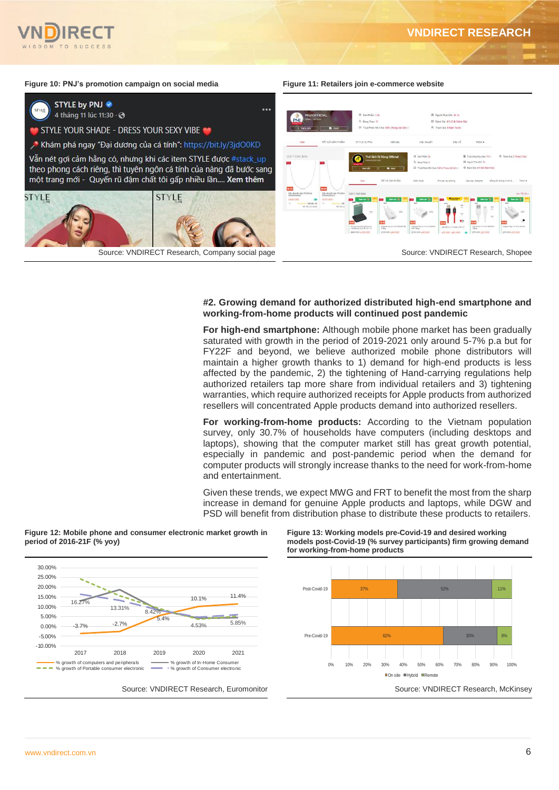



## **#2. Growing demand for authorized distributed high-end smartphone and working-from-home products will continued post pandemic**

**For high-end smartphone:** Although mobile phone market has been gradually saturated with growth in the period of 2019-2021 only around 5-7% p.a but for FY22F and beyond, we believe authorized mobile phone distributors will maintain a higher growth thanks to 1) demand for high-end products is less affected by the pandemic, 2) the tightening of Hand-carrying regulations help authorized retailers tap more share from individual retailers and 3) tightening warranties, which require authorized receipts for Apple products from authorized resellers will concentrated Apple products demand into authorized resellers.

**For working-from-home products:** According to the Vietnam population survey, only 30.7% of households have computers (including desktops and laptops), showing that the computer market still has great growth potential, especially in pandemic and post-pandemic period when the demand for computer products will strongly increase thanks to the need for work-from-home and entertainment.

Given these trends, we expect MWG and FRT to benefit the most from the sharp increase in demand for genuine Apple products and laptops, while DGW and PSD will benefit from distribution phase to distribute these products to retailers.



**Figure 12: Mobile phone and consumer electronic market growth in period of 2016-21F (% yoy)**

**Figure 13: Working models pre-Covid-19 and desired working models post-Covid-19 (% survey participants) firm growing demand for working-from-home products**

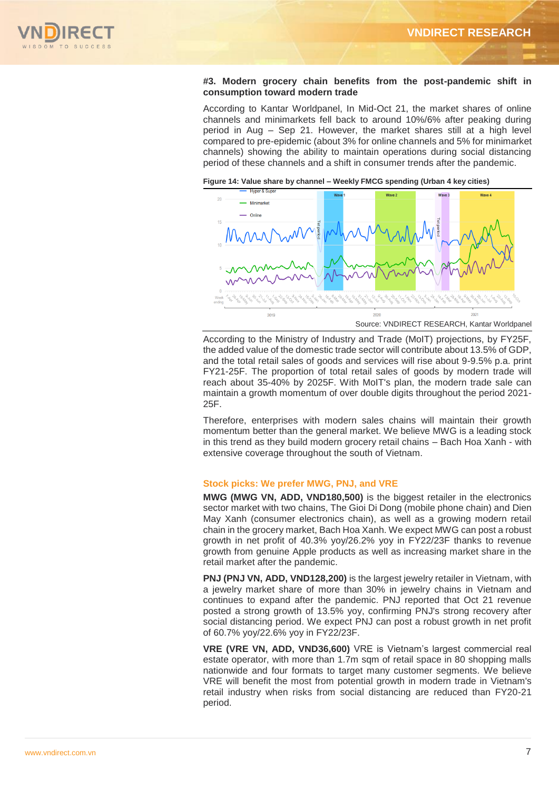

#### **#3. Modern grocery chain benefits from the post-pandemic shift in consumption toward modern trade**

According to Kantar Worldpanel, In Mid-Oct 21, the market shares of online channels and minimarkets fell back to around 10%/6% after peaking during period in Aug – Sep 21. However, the market shares still at a high level compared to pre-epidemic (about 3% for online channels and 5% for minimarket channels) showing the ability to maintain operations during social distancing period of these channels and a shift in consumer trends after the pandemic.

**Figure 14: Value share by channel – Weekly FMCG spending (Urban 4 key cities)**



According to the Ministry of Industry and Trade (MoIT) projections, by FY25F, the added value of the domestic trade sector will contribute about 13.5% of GDP, and the total retail sales of goods and services will rise about 9-9.5% p.a. print FY21-25F. The proportion of total retail sales of goods by modern trade will reach about 35-40% by 2025F. With MoIT's plan, the modern trade sale can maintain a growth momentum of over double digits throughout the period 2021- 25F.

Therefore, enterprises with modern sales chains will maintain their growth momentum better than the general market. We believe MWG is a leading stock in this trend as they build modern grocery retail chains – Bach Hoa Xanh - with extensive coverage throughout the south of Vietnam.

### **Stock picks: We prefer MWG, PNJ, and VRE**

**MWG (MWG VN, ADD, VND180,500)** is the biggest retailer in the electronics sector market with two chains, The Gioi Di Dong (mobile phone chain) and Dien May Xanh (consumer electronics chain), as well as a growing modern retail chain in the grocery market, Bach Hoa Xanh. We expect MWG can post a robust growth in net profit of 40.3% yoy/26.2% yoy in FY22/23F thanks to revenue growth from genuine Apple products as well as increasing market share in the retail market after the pandemic.

**PNJ (PNJ VN, ADD, VND128,200)** is the largest jewelry retailer in Vietnam, with a jewelry market share of more than 30% in jewelry chains in Vietnam and continues to expand after the pandemic. PNJ reported that Oct 21 revenue posted a strong growth of 13.5% yoy, confirming PNJ's strong recovery after social distancing period. We expect PNJ can post a robust growth in net profit of 60.7% yoy/22.6% yoy in FY22/23F.

**VRE (VRE VN, ADD, VND36,600)** VRE is Vietnam's largest commercial real estate operator, with more than 1.7m sqm of retail space in 80 shopping malls nationwide and four formats to target many customer segments. We believe VRE will benefit the most from potential growth in modern trade in Vietnam's retail industry when risks from social distancing are reduced than FY20-21 period.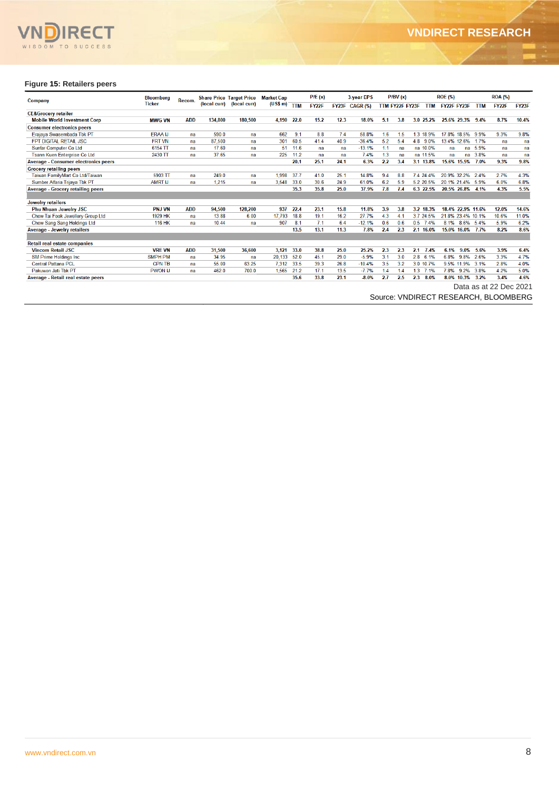

### **Figure 15: Retailers peers**

| <b>Company</b>                              | <b>Bloomberg</b> | Recom.     |         | <b>Share Price Target Price</b><br>(local curr) (local curr) | <b>Market Cap</b><br>$(US$ m)$ TTM |      | PIE(x)<br>3-year EPS |      | P/BV(x)        |     |                 | <b>ROE (%)</b> |                   | <b>ROA</b> (%) |                        |       |
|---------------------------------------------|------------------|------------|---------|--------------------------------------------------------------|------------------------------------|------|----------------------|------|----------------|-----|-----------------|----------------|-------------------|----------------|------------------------|-------|
|                                             | <b>Ticker</b>    |            |         |                                                              |                                    |      | FY22F                |      | FY23F CAGR (%) |     | TTM FY22F FY23F | <b>TTM</b>     | FY22F FY23F       | <b>TTM</b>     | <b>FY22F</b>           | FY23F |
| <b>CE&amp;Grocery retailer</b>              |                  |            |         |                                                              |                                    |      |                      |      |                |     |                 |                |                   |                |                        |       |
| <b>Mobile World Investment Corp</b>         | <b>MWG VN</b>    | <b>ADD</b> | 134.800 | 180.500                                                      | 4,190                              | 22.0 | 15.2                 | 12.3 | 18.0%          | 5.1 | 3.8             | 3.0 25.2%      | 25.6% 29.3% 9.4%  |                | 8.7%                   | 10.4% |
| <b>Consumer electronics peers</b>           |                  |            |         |                                                              |                                    |      |                      |      |                |     |                 |                |                   |                |                        |       |
| Erajaya Swasembada Tbk PT                   | <b>ERAA IJ</b>   | na         | 590.0   | na                                                           | 662                                | 9.1  | 8.8                  | 7.4  | 58.8%          | 1.6 | 1.5             | 1.3 18.9%      | 17.8% 18.5% 9.9%  |                | 9.3%                   | 9.8%  |
| <b>FPT DIGITAL RETAIL JSC</b>               | <b>FRT VN</b>    | na         | 87,500  | na                                                           | 301                                | 60.5 | 41.4                 | 40.9 | $-36.4%$       | 5.2 | 5.4             | 4.8 9.0%       | 13.4% 12.6%       | 17%            | na                     | na    |
| Sunfar Computer Co Ltd                      | 6154 TT          | na         | 17.60   | na                                                           | 51                                 | 11.6 | na                   | na   | $-13.1%$       | 1.1 | na              | na 10.0%       | na                | na 5.9%        | na                     | na    |
| Tsann Kuen Enterprise Co Ltd                | 2430 TT          | na         | 37.65   | na                                                           | 225                                | 11.2 | na                   | na   | 7.4%           | 1.3 | na              | na 11.5%       | na                | na 3.8%        | na                     | na    |
| <b>Average - Consumer electronics peers</b> |                  |            |         |                                                              |                                    | 20.1 | 25.1                 | 24.1 | 6.3%           | 2.2 | 3.4             | 3.1 13.8%      | 15.6% 15.5% 7.0%  |                | 9.3%                   | 9.8%  |
| <b>Grocery retailing peers</b>              |                  |            |         |                                                              |                                    |      |                      |      |                |     |                 |                |                   |                |                        |       |
| Taiwan FamilyMart Co Ltd/Taiwan             | 5903 TT          | na         | 249.0   | na                                                           | 1.998                              | 37.7 | 41.0                 | 25.1 | 14.8%          | 9.4 | 8.8             | 7.4 24.4%      | 20.9% 32.2%       | 2.4%           | 2.7%                   | 4.3%  |
| Sumber Alfaria Trijaya Tbk PT               | <b>AMRT IJ</b>   | na         | 1.215   | na                                                           | 3.548                              | 33.0 | 30.6                 | 24.9 | 61.0%          | 6.2 | 5.9             | 5.2 20.5%      | 20.1% 21.4% 5.9%  |                | 6.0%                   | 6.8%  |
| <b>Average - Grocery retailing peers</b>    |                  |            |         |                                                              |                                    | 35.3 | 35.8                 | 25.0 | 37.9%          | 7.8 | 7.4             | 6.3 22.5%      | 20.5% 26.8% 4.1%  |                | 4.3%                   | 5.5%  |
|                                             |                  |            |         |                                                              |                                    |      |                      |      |                |     |                 |                |                   |                |                        |       |
| <b>Jewelry retailers</b>                    |                  |            |         |                                                              |                                    |      |                      |      |                |     |                 |                |                   |                |                        |       |
| <b>Phu Nhuan Jewelry JSC</b>                | <b>PNJ VN</b>    | <b>ADD</b> | 94,500  | 128,200                                                      | 937                                | 22.4 | 23.1                 | 15.8 | 11.8%          | 3.9 | 3.8             | 3.2 18.3%      | 18.4% 22.9% 11.6% |                | 12.0%                  | 14.6% |
| Chow Tai Fook Jewellery Group Ltd           | 1929 HK          | na         | 13.88   | 6.00                                                         | 17.793                             | 18.8 | 19.1                 | 16.2 | 27.7%          | 4.3 | 4.1             | 3.7 24.5%      | 21.8% 23.4% 10.1% |                | 10.6%                  | 11.0% |
| Chow Sang Sang Holdings Ltd                 | <b>116 HK</b>    | na         | 10.44   | na                                                           | 907                                | 8.1  | 7.1                  | 6.4  | $-12.1%$       | 0.6 | 0.6             | 0.5 7.4%       | 8.1% 8.6% 5.4%    |                | 5.9%                   | 6.2%  |
| <b>Average - Jewelry retailers</b>          |                  |            |         |                                                              |                                    | 13.5 | 13.1                 | 11.3 | 7.8%           | 2.4 | 2.3             | 2.1 16.0%      | 15.0% 16.0% 7.7%  |                | 8.2%                   | 8.6%  |
|                                             |                  |            |         |                                                              |                                    |      |                      |      |                |     |                 |                |                   |                |                        |       |
| <b>Retail real estate companies</b>         |                  |            |         |                                                              |                                    |      |                      |      |                |     |                 |                |                   |                |                        |       |
| <b>Vincom Retail JSC</b>                    | <b>VRE VN</b>    | <b>ADD</b> | 31.500  | 36.600                                                       | 3.121                              | 33.0 | 38.8                 | 25.0 | 25.2%          | 2.3 | 2.3             | 2.1<br>7.4%    | 6.1%<br>9.0%      | 5.6%           | 3.9%                   | 6.4%  |
| <b>SM Prime Holdings Inc.</b>               | <b>SMPH PM</b>   | na         | 34.95   | na                                                           | 20.133                             | 52.0 | 45.1                 | 29.0 | $-5.9%$        | 3.1 | 3.0             | 2.8<br>6.1%    | 9.8%<br>6.8%      | 2.6%           | 3.3%                   | 4.7%  |
| <b>Central Pattana PCL</b>                  | <b>CPN TB</b>    | na         | 55.00   | 63.25                                                        | 7,312                              | 33.5 | 39.3                 | 26.8 | $-10.4%$       | 3.5 | 3.2             | 3.0 10.7%      | 9.5% 11.9%        | 3.1%           | 2.8%                   | 4.0%  |
| Pakuwon Jati Tbk PT                         | <b>PWON IJ</b>   | na         | 462.0   | 700.0                                                        | 1,565                              | 21.2 | 17.1                 | 13.5 | $-7.7%$        | 1.4 | 1.4             | 1.3<br>7.1%    | 7.8% 9.2%         | 3.8%           | 4.2%                   | 5.0%  |
| Average - Retail real estate peers          |                  |            |         |                                                              |                                    | 35.6 | 33.8                 | 23.1 | $-8.0%$        | 2.7 | 2.5             | 2.3<br>8.0%    | 8.0%<br>10.3%     | 3.2%           | 3.4%                   | 4.6%  |
|                                             |                  |            |         |                                                              |                                    |      |                      |      |                |     |                 |                |                   |                | Data as at 22 Dec 2021 |       |

Source: VNDIRECT RESEARCH, BLOOMBERG